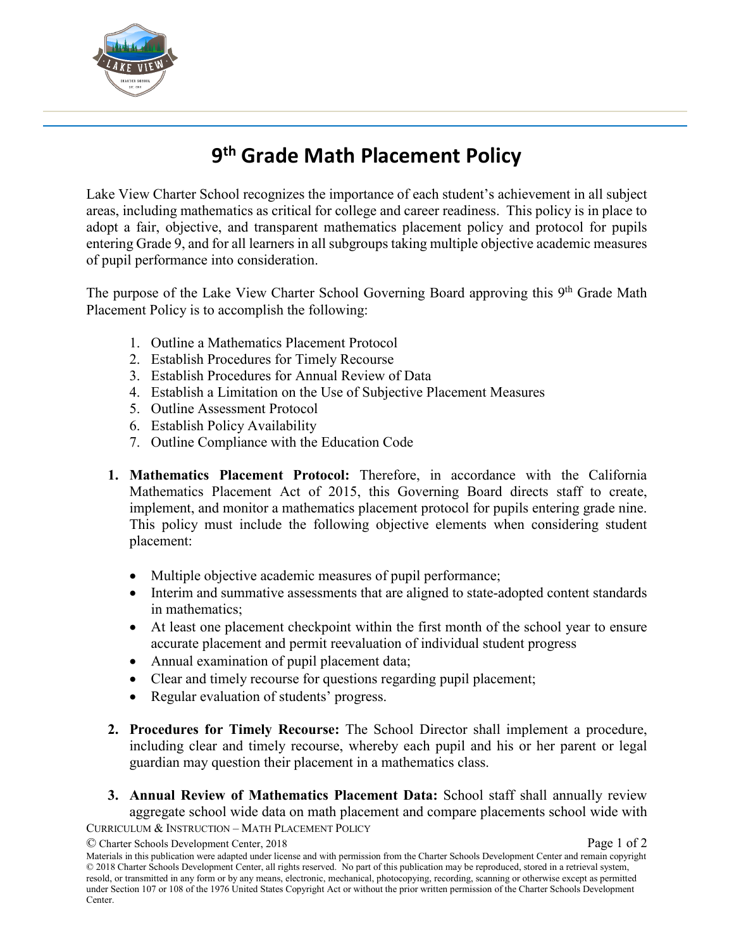

## **9th Grade Math Placement Policy**

Lake View Charter School recognizes the importance of each student's achievement in all subject areas, including mathematics as critical for college and career readiness. This policy is in place to adopt a fair, objective, and transparent mathematics placement policy and protocol for pupils entering Grade 9, and for all learners in all subgroups taking multiple objective academic measures of pupil performance into consideration.

The purpose of the Lake View Charter School Governing Board approving this 9<sup>th</sup> Grade Math Placement Policy is to accomplish the following:

- 1. Outline a Mathematics Placement Protocol
- 2. Establish Procedures for Timely Recourse
- 3. Establish Procedures for Annual Review of Data
- 4. Establish a Limitation on the Use of Subjective Placement Measures
- 5. Outline Assessment Protocol
- 6. Establish Policy Availability
- 7. Outline Compliance with the Education Code
- **1. Mathematics Placement Protocol:** Therefore, in accordance with the California Mathematics Placement Act of 2015, this Governing Board directs staff to create, implement, and monitor a mathematics placement protocol for pupils entering grade nine. This policy must include the following objective elements when considering student placement:
	- Multiple objective academic measures of pupil performance;
	- Interim and summative assessments that are aligned to state-adopted content standards in mathematics;
	- At least one placement checkpoint within the first month of the school year to ensure accurate placement and permit reevaluation of individual student progress
	- Annual examination of pupil placement data;
	- Clear and timely recourse for questions regarding pupil placement;
	- Regular evaluation of students' progress.
- **2. Procedures for Timely Recourse:** The School Director shall implement a procedure, including clear and timely recourse, whereby each pupil and his or her parent or legal guardian may question their placement in a mathematics class.
- CURRICULUM & INSTRUCTION MATH PLACEMENT POLICY **3. Annual Review of Mathematics Placement Data:** School staff shall annually review aggregate school wide data on math placement and compare placements school wide with

<sup>©</sup> Charter Schools Development Center, 2018 **Page 1** of 2

Materials in this publication were adapted under license and with permission from the Charter Schools Development Center and remain copyright © 2018 Charter Schools Development Center, all rights reserved. No part of this publication may be reproduced, stored in a retrieval system, resold, or transmitted in any form or by any means, electronic, mechanical, photocopying, recording, scanning or otherwise except as permitted under Section 107 or 108 of the 1976 United States Copyright Act or without the prior written permission of the Charter Schools Development Center.